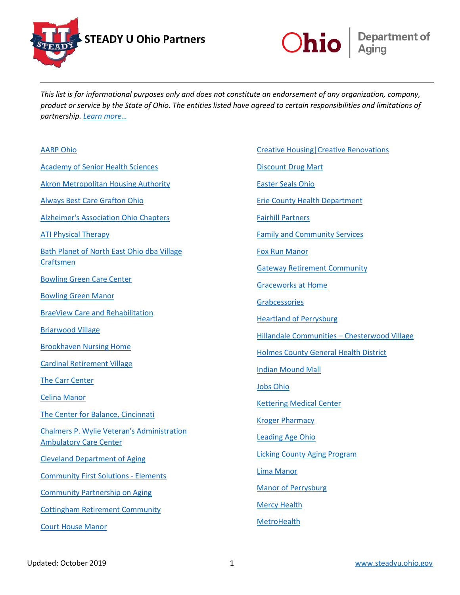



*This list is for informational purposes only and does not constitute an endorsement of any organization, company, product or service by the State of Ohio. The entities listed have agreed to certain responsibilities and limitations of partnership. [Learn more…](https://aging.ohio.gov/STEADYUPartnerAgreement)*

| <b>AARP Ohio</b>                                                                   |
|------------------------------------------------------------------------------------|
| <b>Academy of Senior Health Sciences</b>                                           |
| <b>Akron Metropolitan Housing Authority</b>                                        |
| <b>Always Best Care Grafton Ohio</b>                                               |
| Alzheimer's Association Ohio Chapters                                              |
| <b>ATI Physical Therapy</b>                                                        |
| Bath Planet of North East Ohio dba Village<br>Craftsmen                            |
| <b>Bowling Green Care Center</b>                                                   |
| <b>Bowling Green Manor</b>                                                         |
| <b>BraeView Care and Rehabilitation</b>                                            |
| <b>Briarwood Village</b>                                                           |
| <b>Brookhaven Nursing Home</b>                                                     |
| <b>Cardinal Retirement Village</b>                                                 |
| <b>The Carr Center</b>                                                             |
| <b>Celina Manor</b>                                                                |
| The Center for Balance, Cincinnati                                                 |
| <b>Chalmers P. Wylie Veteran's Administration</b><br><b>Ambulatory Care Center</b> |
| <b>Cleveland Department of Aging</b>                                               |
| <b>Community First Solutions - Elements</b>                                        |
| <b>Community Partnership on Aging</b>                                              |
| <b>Cottingham Retirement Community</b>                                             |
| <b>Court House Manor</b>                                                           |

[Creative Housing|Creative Renovations](http://www.accessibilityrenovations.org/) [Discount Drug Mart](http://www.discount-drugmart.com/) [Easter Seals Ohio](http://www.eastersealscentralohio.org/) [Erie County Health Department](http://eriecohealthohio.org/) [Fairhill Partners](http://fairhillpartners.org/) [Family and Community Services](http://www.fcsserves.org/) [Fox Run Manor](http://foxrunmanor.com/) [Gateway Retirement Community](http://www.gatewaycarecommunity.com/) [Graceworks at Home](https://graceworksathome.org/) [Grabcessories](http://www.grabcessories.com/) [Heartland of Perrysburg](http://www.heartland-manorcare.com/locations/heartland-of-perrysburg/) [Hillandale Communities –](http://www.hillandale.com/) Chesterwood Village [Holmes County General Health District](http://www.co.holmes.oh.us/health/) [Indian Mound Mall](http://indianmoundmall.com/) [Jobs Ohio](http://jobs-ohio.com/) [Kettering Medical Center](http://ketteringhealth.org/) [Kroger Pharmacy](https://www.kroger.com/topic/pharmacy#/%21) [Leading Age Ohio](http://www.leadingageohio.org/) [Licking County Aging Program](http://lcap.org/) [Lima Manor](http://limamanor.com/) [Manor of Perrysburg](http://manoratperrysburg.com/) [Mercy Health](http://www.mercy.com/) **[MetroHealth](http://www.metrohealth.org/)**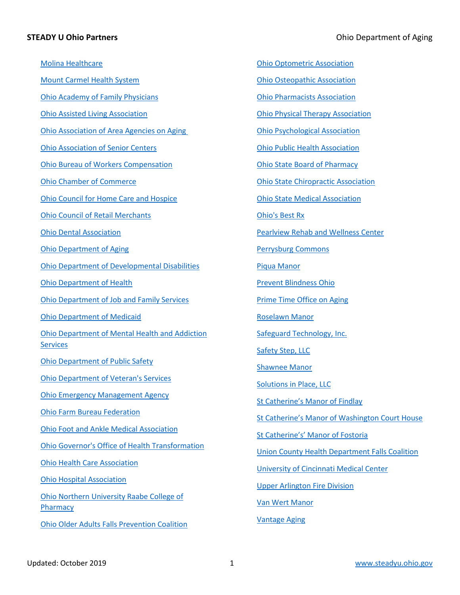[Molina Healthcare](http://www.molinahealthcare.com/en-US/Pages/home.aspx) [Mount Carmel Health System](http://www.trinity-health.org/mount-carmel-health-system-columbus-oh) [Ohio Academy of Family Physicians](http://www.ohioafp.org/) [Ohio Assisted Living Association](http://www.ohioassistedliving.org/) [Ohio Association of Area Agencies on Aging](http://www.ohioaging.org/)  [Ohio Association of Senior Centers](http://www.ohioasc.org/) [Ohio Bureau of Workers Compensation](http://www.ohiobwc.com/) [Ohio Chamber of Commerce](http://www.ohiochamber.com/) [Ohio Council for Home Care and Hospice](http://www.ochch.org/) [Ohio Council of Retail Merchants](http://www.ocrm.net/) [Ohio Dental Association](http://www.oda.org/) [Ohio Department of Aging](http://www.aging.ohio.gov/) [Ohio Department of Developmental Disabilities](http://dodd.ohio.gov/) [Ohio Department of Health](http://www.odh.ohio.gov/) [Ohio Department of Job and Family Services](http://www.jfs.ohio.gov/) [Ohio Department of Medicaid](http://www.medicaid.ohio.gov/) [Ohio Department of Mental Health and Addiction](http://mha.ohio.gov/)  **[Services](http://mha.ohio.gov/)** [Ohio Department of Public Safety](http://publicsafety.ohio.gov/) [Ohio Department of Veteran's Services](http://dvs.ohio.gov/) [Ohio Emergency Management Agency](http://www.ema.ohio.gov/) [Ohio Farm Bureau Federation](https://ofbf.org/) [Ohio Foot and Ankle Medical Association](http://ohfama.org/) [Ohio Governor's Office of Health Transformation](http://www.healthtransformation.ohio.gov/) [Ohio Health Care Association](http://www.ohca.org/) [Ohio Hospital Association](http://www.ohiohospitals.org/) [Ohio Northern University Raabe College of](http://www.onu.edu/pharmacy)  **[Pharmacy](http://www.onu.edu/pharmacy)** [Ohio Older Adults Falls Prevention Coalition](http://www.healthy.ohio.gov/vipp/oafpc/oafpc.aspx)

[Ohio Optometric Association](http://ohio.aoa.org/) [Ohio Osteopathic Association](http://ooanet.org/aws/OOSA/pt/sp/home_page) [Ohio Pharmacists Association](http://www.ohiopharmacists.org/) [Ohio Physical Therapy Association](http://www.ohiopt.org/) [Ohio Psychological Association](http://www.ohpsych.org/) [Ohio Public Health Association](http://ohiopha.org/) [Ohio State Board of Pharmacy](http://pharmacy.ohio.gov/) [Ohio State Chiropractic Association](http://oscachiro.org/) [Ohio State Medical Association](http://www.osma.org/) [Ohio's Best Rx](http://www.ohiobestrx.com/) [Pearlview Rehab and Wellness Center](http://www.pearlviewcarecenter.com/) [Perrysburg Commons](http://www.perrysburgcommons.com/) [Piqua Manor](http://piquamanor.com/) [Prevent Blindness Ohio](http://ohio.preventblindness.org/) [Prime Time Office on Aging](http://www.primetimejeffersoncounty.com/) [Roselawn Manor](http://roselawnmanor.com/) [Safeguard Technology, Inc.](http://www.safeguard-technology.com/) [Safety Step, LLC](http://www.safetystepllc.com/) [Shawnee Manor](http://shawneemanor.com/) [Solutions in Place, LLC](http://soinplace.com/) [St Catherine's Manor of Findlay](http://stcatherinesfindlay.com/) [St Catherine's Manor of Washington Court House](http://stcatherinescourthouse.com/) [St Catherine's' Manor of Fostoria](http://stcatherinesfostoria.com/) [Union County Health Department Falls Coalition](http://www.uchd.net/fall-prevention-for-seniors) [University of Cincinnati Medical Center](http://www.uchealth.com/) [Upper Arlington Fire Division](https://upperarlingtonoh.gov/fire-division/) [Van Wert Manor](http://vanwertmanor.com/)

[Vantage Aging](http://www.vantageaging.org/)